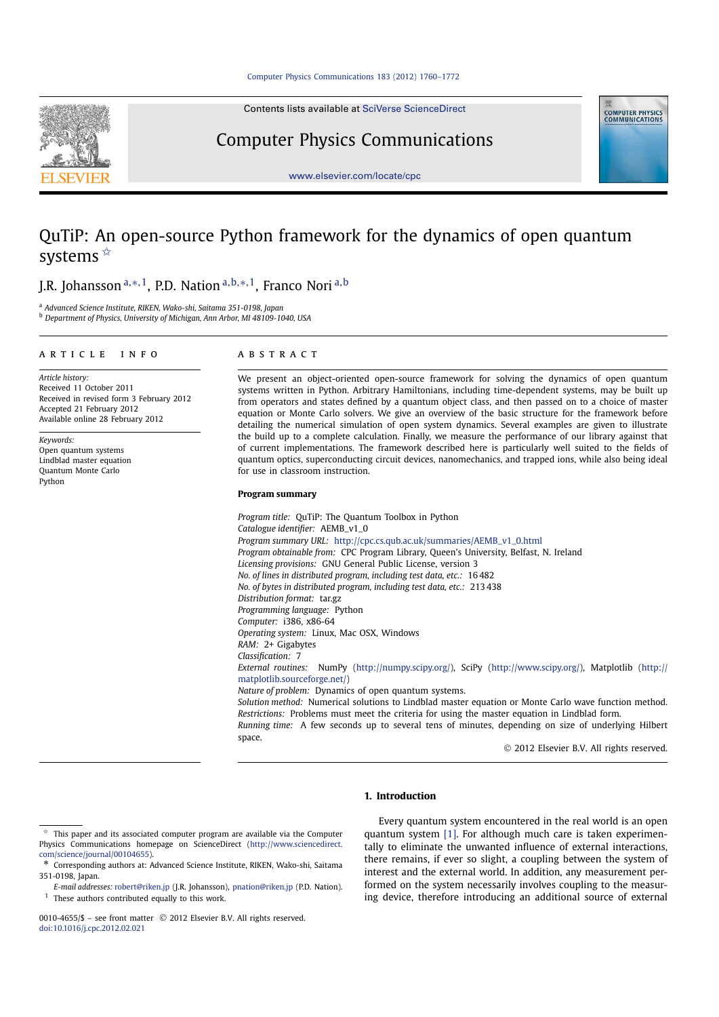Contents lists available at SciVerse ScienceDirect



Computer Physics Communications



www.elsevier.com/locate/cpc

# QuTiP: An open-source Python framework for the dynamics of open quantum systems<sup>\*</sup>

J.R. Johansson a,\*,1, P.D. Nation a,b,\*,1, Franco Nori a,b

<sup>a</sup> *Advanced Science Institute, RIKEN, Wako-shi, Saitama 351-0198, Japan* <sup>b</sup> *Department of Physics, University of Michigan, Ann Arbor, MI 48109-1040, USA*

#### article info abstract

*Article history:* Received 11 October 2011 Received in revised form 3 February 2012 Accepted 21 February 2012 Available online 28 February 2012

*Keywords:* Open quantum systems Lindblad master equation Quantum Monte Carlo Python

We present an object-oriented open-source framework for solving the dynamics of open quantum systems written in Python. Arbitrary Hamiltonians, including time-dependent systems, may be built up from operators and states defined by a quantum object class, and then passed on to a choice of master equation or Monte Carlo solvers. We give an overview of the basic structure for the framework before detailing the numerical simulation of open system dynamics. Several examples are given to illustrate the build up to a complete calculation. Finally, we measure the performance of our library against that of current implementations. The framework described here is particularly well suited to the fields of quantum optics, superconducting circuit devices, nanomechanics, and trapped ions, while also being ideal for use in classroom instruction.

# **Program summary**

*Program title:* QuTiP: The Quantum Toolbox in Python *Catalogue identifier:* AEMB\_v1\_0 *Program summary URL:* http://cpc.cs.qub.ac.uk/summaries/AEMB\_v1\_0.html *Program obtainable from:* CPC Program Library, Queen's University, Belfast, N. Ireland *Licensing provisions:* GNU General Public License, version 3 *No. of lines in distributed program, including test data, etc.:* 16 482 *No. of bytes in distributed program, including test data, etc.:* 213 438 *Distribution format:* tar.gz *Programming language:* Python *Computer:* i386, x86-64 *Operating system:* Linux, Mac OSX, Windows *RAM:* 2+ Gigabytes *Classification:* 7 *External routines:* NumPy (http://numpy.scipy.org/), SciPy (http://www.scipy.org/), Matplotlib (http:// matplotlib.sourceforge.net/) *Nature of problem:* Dynamics of open quantum systems. *Solution method:* Numerical solutions to Lindblad master equation or Monte Carlo wave function method. *Restrictions:* Problems must meet the criteria for using the master equation in Lindblad form. *Running time:* A few seconds up to several tens of minutes, depending on size of underlying Hilbert space.

2012 Elsevier B.V. All rights reserved.

#### **1. Introduction**

0010-4655/\$ - see front matter © 2012 Elsevier B.V. All rights reserved. doi:10.1016/j.cpc.2012.02.021

Every quantum system encountered in the real world is an open quantum system [1]. For although much care is taken experimentally to eliminate the unwanted influence of external interactions, there remains, if ever so slight, a coupling between the system of interest and the external world. In addition, any measurement performed on the system necessarily involves coupling to the measuring device, therefore introducing an additional source of external

<sup>✩</sup> This paper and its associated computer program are available via the Computer Physics Communications homepage on ScienceDirect (http://www.sciencedirect. com/science/journal/00104655).

<sup>\*</sup> Corresponding authors at: Advanced Science Institute, RIKEN, Wako-shi, Saitama 351-0198, Japan.

*E-mail addresses:* robert@riken.jp (J.R. Johansson), pnation@riken.jp (P.D. Nation).  $1$  These authors contributed equally to this work.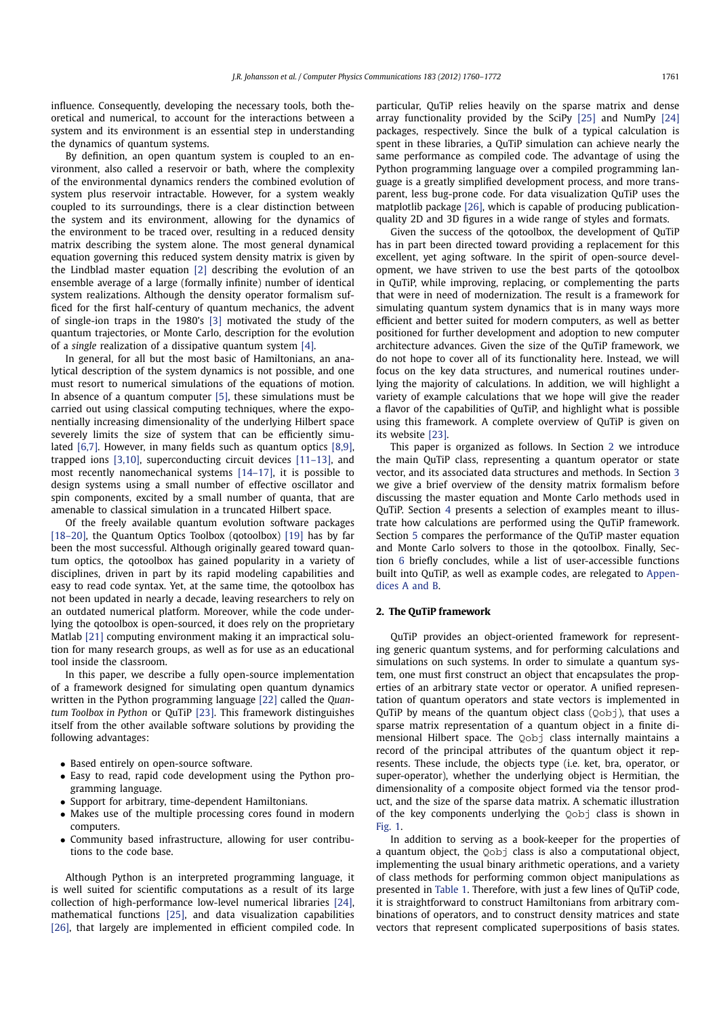influence. Consequently, developing the necessary tools, both theoretical and numerical, to account for the interactions between a system and its environment is an essential step in understanding the dynamics of quantum systems.

By definition, an open quantum system is coupled to an environment, also called a reservoir or bath, where the complexity of the environmental dynamics renders the combined evolution of system plus reservoir intractable. However, for a system weakly coupled to its surroundings, there is a clear distinction between the system and its environment, allowing for the dynamics of the environment to be traced over, resulting in a reduced density matrix describing the system alone. The most general dynamical equation governing this reduced system density matrix is given by the Lindblad master equation [2] describing the evolution of an ensemble average of a large (formally infinite) number of identical system realizations. Although the density operator formalism sufficed for the first half-century of quantum mechanics, the advent of single-ion traps in the 1980's [3] motivated the study of the quantum trajectories, or Monte Carlo, description for the evolution of a *single* realization of a dissipative quantum system [4].

In general, for all but the most basic of Hamiltonians, an analytical description of the system dynamics is not possible, and one must resort to numerical simulations of the equations of motion. In absence of a quantum computer [5], these simulations must be carried out using classical computing techniques, where the exponentially increasing dimensionality of the underlying Hilbert space severely limits the size of system that can be efficiently simulated [6,7]. However, in many fields such as quantum optics [8,9], trapped ions [3,10], superconducting circuit devices [11–13], and most recently nanomechanical systems [14–17], it is possible to design systems using a small number of effective oscillator and spin components, excited by a small number of quanta, that are amenable to classical simulation in a truncated Hilbert space.

Of the freely available quantum evolution software packages [18–20], the Quantum Optics Toolbox (qotoolbox) [19] has by far been the most successful. Although originally geared toward quantum optics, the qotoolbox has gained popularity in a variety of disciplines, driven in part by its rapid modeling capabilities and easy to read code syntax. Yet, at the same time, the qotoolbox has not been updated in nearly a decade, leaving researchers to rely on an outdated numerical platform. Moreover, while the code underlying the qotoolbox is open-sourced, it does rely on the proprietary Matlab [21] computing environment making it an impractical solution for many research groups, as well as for use as an educational tool inside the classroom.

In this paper, we describe a fully open-source implementation of a framework designed for simulating open quantum dynamics written in the Python programming language [22] called the *Quantum Toolbox in Python* or QuTiP [23]. This framework distinguishes itself from the other available software solutions by providing the following advantages:

- Based entirely on open-source software.
- Easy to read, rapid code development using the Python programming language.
- Support for arbitrary, time-dependent Hamiltonians.
- Makes use of the multiple processing cores found in modern computers.
- Community based infrastructure, allowing for user contributions to the code base.

Although Python is an interpreted programming language, it is well suited for scientific computations as a result of its large collection of high-performance low-level numerical libraries [24], mathematical functions [25], and data visualization capabilities [26], that largely are implemented in efficient compiled code. In particular, QuTiP relies heavily on the sparse matrix and dense array functionality provided by the SciPy [25] and NumPy [24] packages, respectively. Since the bulk of a typical calculation is spent in these libraries, a QuTiP simulation can achieve nearly the same performance as compiled code. The advantage of using the Python programming language over a compiled programming language is a greatly simplified development process, and more transparent, less bug-prone code. For data visualization QuTiP uses the matplotlib package [26], which is capable of producing publicationquality 2D and 3D figures in a wide range of styles and formats.

Given the success of the qotoolbox, the development of QuTiP has in part been directed toward providing a replacement for this excellent, yet aging software. In the spirit of open-source development, we have striven to use the best parts of the qotoolbox in QuTiP, while improving, replacing, or complementing the parts that were in need of modernization. The result is a framework for simulating quantum system dynamics that is in many ways more efficient and better suited for modern computers, as well as better positioned for further development and adoption to new computer architecture advances. Given the size of the QuTiP framework, we do not hope to cover all of its functionality here. Instead, we will focus on the key data structures, and numerical routines underlying the majority of calculations. In addition, we will highlight a variety of example calculations that we hope will give the reader a flavor of the capabilities of QuTiP, and highlight what is possible using this framework. A complete overview of QuTiP is given on its website [23].

This paper is organized as follows. In Section 2 we introduce the main QuTiP class, representing a quantum operator or state vector, and its associated data structures and methods. In Section 3 we give a brief overview of the density matrix formalism before discussing the master equation and Monte Carlo methods used in QuTiP. Section 4 presents a selection of examples meant to illustrate how calculations are performed using the QuTiP framework. Section 5 compares the performance of the QuTiP master equation and Monte Carlo solvers to those in the qotoolbox. Finally, Section 6 briefly concludes, while a list of user-accessible functions built into QuTiP, as well as example codes, are relegated to Appendices A and B.

#### **2. The QuTiP framework**

QuTiP provides an object-oriented framework for representing generic quantum systems, and for performing calculations and simulations on such systems. In order to simulate a quantum system, one must first construct an object that encapsulates the properties of an arbitrary state vector or operator. A unified representation of quantum operators and state vectors is implemented in OuTiP by means of the quantum object class  $(0 \text{obj})$ , that uses a sparse matrix representation of a quantum object in a finite dimensional Hilbert space. The Qobj class internally maintains a record of the principal attributes of the quantum object it represents. These include, the objects type (i.e. ket, bra, operator, or super-operator), whether the underlying object is Hermitian, the dimensionality of a composite object formed via the tensor product, and the size of the sparse data matrix. A schematic illustration of the key components underlying the Qobj class is shown in Fig. 1.

In addition to serving as a book-keeper for the properties of a quantum object, the Qobj class is also a computational object, implementing the usual binary arithmetic operations, and a variety of class methods for performing common object manipulations as presented in Table 1. Therefore, with just a few lines of QuTiP code, it is straightforward to construct Hamiltonians from arbitrary combinations of operators, and to construct density matrices and state vectors that represent complicated superpositions of basis states.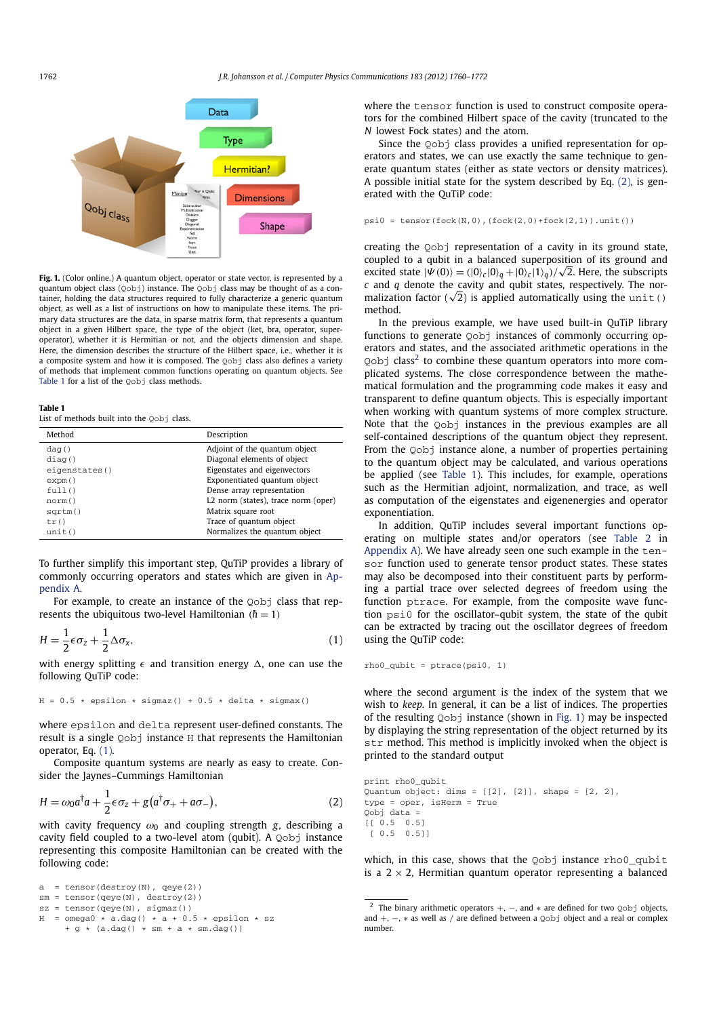

Fig. 1. (Color online.) A quantum object, operator or state vector, is represented by a quantum object class  $(Qob)$ ) instance. The  $Qobj$  class may be thought of as a container, holding the data structures required to fully characterize a generic quantum object, as well as a list of instructions on how to manipulate these items. The primary data structures are the data, in sparse matrix form, that represents a quantum object in a given Hilbert space, the type of the object (ket, bra, operator, superoperator), whether it is Hermitian or not, and the objects dimension and shape. Here, the dimension describes the structure of the Hilbert space, i.e., whether it is a composite system and how it is composed. The Qobj class also defines a variety of methods that implement common functions operating on quantum objects. See Table 1 for a list of the Oobj class methods.

#### **Table 1**

List of methods built into the Oobj class.

| Method        | Description                         |
|---------------|-------------------------------------|
| d a q()       | Adjoint of the quantum object       |
| diag()        | Diagonal elements of object         |
| eigenstates() | Eigenstates and eigenvectors        |
| expm()        | Exponentiated quantum object        |
| full()        | Dense array representation          |
| norm()        | L2 norm (states), trace norm (oper) |
| $s$ qrtm $()$ | Matrix square root                  |
| tr()          | Trace of quantum object             |
| unit()        | Normalizes the quantum object       |
|               |                                     |

To further simplify this important step, QuTiP provides a library of commonly occurring operators and states which are given in Appendix A.

For example, to create an instance of the Qobj class that represents the ubiquitous two-level Hamiltonian ( $\hbar = 1$ )

$$
H = \frac{1}{2}\epsilon\sigma_z + \frac{1}{2}\Delta\sigma_x,\tag{1}
$$

with energy splitting  $\epsilon$  and transition energy  $\Delta$ , one can use the following QuTiP code:

$$
H = 0.5 * epsilon * sigmaz() + 0.5 * delta * sigmax()
$$

where epsilon and delta represent user-defined constants. The result is a single Qobj instance H that represents the Hamiltonian operator, Eq. (1).

Composite quantum systems are nearly as easy to create. Consider the Jaynes–Cummings Hamiltonian

$$
H = \omega_0 a^\dagger a + \frac{1}{2} \epsilon \sigma_z + g (a^\dagger \sigma_+ + a \sigma_-), \tag{2}
$$

with cavity frequency  $\omega_0$  and coupling strength *g*, describing a cavity field coupled to a two-level atom (qubit). A Qobj instance representing this composite Hamiltonian can be created with the following code:

```
a = tensor(destroy(N), qeye(2))
sm = tensor(qeye(N), destroy(2))
sz = tensor(qeye(N), sigmaz())
H = \text{omega} \cdot \vec{a} \cdot \text{day} * \vec{a} + 0.5 * epsilon * sz
      + g * (a.dag() * sm + a * sm.dag())
```
where the tensor function is used to construct composite operators for the combined Hilbert space of the cavity (truncated to the *N* lowest Fock states) and the atom.

Since the Qobj class provides a unified representation for operators and states, we can use exactly the same technique to generate quantum states (either as state vectors or density matrices). A possible initial state for the system described by Eq. (2), is generated with the QuTiP code:

$$
psi = tensor(fock(N,0), (fock(2,0) + fock(2,1)) .unit())
$$

creating the Qobj representation of a cavity in its ground state, coupled to a qubit in a balanced superposition of its ground and excited state  $|\Psi(0)\rangle = (|0\rangle_c |0\rangle_a + |0\rangle_c |1\rangle_a)/\sqrt{2}$ . Here, the subscripts *c* and *q* denote the cavity and qubit states, respectively. The normalization factor ( $\sqrt{2}$ ) is applied automatically using the unit() method.

In the previous example, we have used built-in QuTiP library functions to generate Qobj instances of commonly occurring operators and states, and the associated arithmetic operations in the  $Q$ obj class<sup>2</sup> to combine these quantum operators into more complicated systems. The close correspondence between the mathematical formulation and the programming code makes it easy and transparent to define quantum objects. This is especially important when working with quantum systems of more complex structure. Note that the Oobj instances in the previous examples are all self-contained descriptions of the quantum object they represent. From the Qobj instance alone, a number of properties pertaining to the quantum object may be calculated, and various operations be applied (see Table 1). This includes, for example, operations such as the Hermitian adjoint, normalization, and trace, as well as computation of the eigenstates and eigenenergies and operator exponentiation.

In addition, QuTiP includes several important functions operating on multiple states and/or operators (see Table 2 in Appendix A). We have already seen one such example in the  $ten$ sor function used to generate tensor product states. These states may also be decomposed into their constituent parts by performing a partial trace over selected degrees of freedom using the function ptrace. For example, from the composite wave function psi0 for the oscillator–qubit system, the state of the qubit can be extracted by tracing out the oscillator degrees of freedom using the QuTiP code:

rho0\_qubit = ptrace(psi0, 1)

where the second argument is the index of the system that we wish to *keep*. In general, it can be a list of indices. The properties of the resulting Qobj instance (shown in Fig. 1) may be inspected by displaying the string representation of the object returned by its str method. This method is implicitly invoked when the object is printed to the standard output

```
print rho0_qubit
Quantum object: dims = [2], [2], shape = [2, 2],
type = oper, isHerm = True
Qobj data =
[[ 0.5 0.5]
 [ 0.5 0.5]]
```
which, in this case, shows that the Qobj instance rho0\_qubit is a  $2 \times 2$ , Hermitian quantum operator representing a balanced

<sup>&</sup>lt;sup>2</sup> The binary arithmetic operators  $+$ ,  $-$ , and  $*$  are defined for two  $Q \circ b j$  objects, and +, −, ∗ as well as / are defined between a Qobj object and a real or complex number.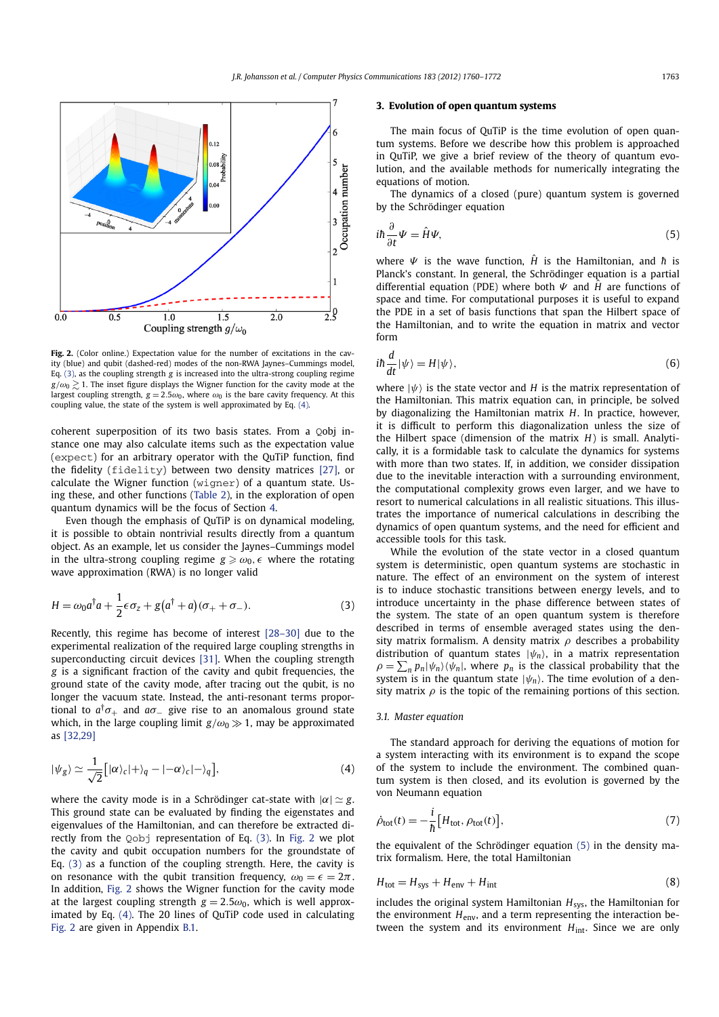

**Fig. 2.** (Color online.) Expectation value for the number of excitations in the cavity (blue) and qubit (dashed-red) modes of the non-RWA Jaynes–Cummings model, Eq. (3), as the coupling strength *g* is increased into the ultra-strong coupling regime  $g/\omega_0 \geq 1$ . The inset figure displays the Wigner function for the cavity mode at the largest coupling strength,  $g = 2.5\omega_0$ , where  $\omega_0$  is the bare cavity frequency. At this coupling value, the state of the system is well approximated by Eq. (4).

coherent superposition of its two basis states. From a Qobj instance one may also calculate items such as the expectation value (expect) for an arbitrary operator with the QuTiP function, find the fidelity (fidelity) between two density matrices [27], or calculate the Wigner function (wigner) of a quantum state. Using these, and other functions (Table 2), in the exploration of open quantum dynamics will be the focus of Section 4.

Even though the emphasis of QuTiP is on dynamical modeling, it is possible to obtain nontrivial results directly from a quantum object. As an example, let us consider the Jaynes–Cummings model in the ultra-strong coupling regime  $g \ge \omega_0$ ,  $\epsilon$  where the rotating wave approximation (RWA) is no longer valid

$$
H = \omega_0 a^\dagger a + \frac{1}{2} \epsilon \sigma_z + g(a^\dagger + a)(\sigma_+ + \sigma_-). \tag{3}
$$

Recently, this regime has become of interest [28–30] due to the experimental realization of the required large coupling strengths in superconducting circuit devices [31]. When the coupling strength *g* is a significant fraction of the cavity and qubit frequencies, the ground state of the cavity mode, after tracing out the qubit, is no longer the vacuum state. Instead, the anti-resonant terms proportional to  $a^{\dagger}\sigma_{+}$  and  $a\sigma_{-}$  give rise to an anomalous ground state which, in the large coupling limit  $g/\omega_0 \gg 1$ , may be approximated as [32,29]

$$
|\psi_{g}\rangle \simeq \frac{1}{\sqrt{2}} [|\alpha\rangle_{c}| + \rangle_{q} - |-\alpha\rangle_{c}| - \rangle_{q}], \qquad (4)
$$

where the cavity mode is in a Schrödinger cat-state with  $|\alpha| \simeq g$ . This ground state can be evaluated by finding the eigenstates and eigenvalues of the Hamiltonian, and can therefore be extracted directly from the Qobj representation of Eq. (3). In Fig. 2 we plot the cavity and qubit occupation numbers for the groundstate of Eq. (3) as a function of the coupling strength. Here, the cavity is on resonance with the qubit transition frequency,  $\omega_0 = \epsilon = 2\pi$ . In addition, Fig. 2 shows the Wigner function for the cavity mode at the largest coupling strength  $g = 2.5\omega_0$ , which is well approximated by Eq. (4). The 20 lines of QuTiP code used in calculating Fig. 2 are given in Appendix B.1.

# **3. Evolution of open quantum systems**

The main focus of QuTiP is the time evolution of open quantum systems. Before we describe how this problem is approached in QuTiP, we give a brief review of the theory of quantum evolution, and the available methods for numerically integrating the equations of motion.

The dynamics of a closed (pure) quantum system is governed by the Schrödinger equation

$$
i\hbar \frac{\partial}{\partial t} \Psi = \hat{H} \Psi,\tag{5}
$$

where *Ψ* is the wave function,  $\hat{H}$  is the Hamiltonian, and *h* is Planck's constant. In general, the Schrödinger equation is a partial differential equation (PDE) where both  $\Psi$  and  $H$  are functions of space and time. For computational purposes it is useful to expand the PDE in a set of basis functions that span the Hilbert space of the Hamiltonian, and to write the equation in matrix and vector form

$$
i\hbar \frac{d}{dt} |\psi\rangle = H |\psi\rangle,\tag{6}
$$

where  $|\psi\rangle$  is the state vector and *H* is the matrix representation of the Hamiltonian. This matrix equation can, in principle, be solved by diagonalizing the Hamiltonian matrix *H*. In practice, however, it is difficult to perform this diagonalization unless the size of the Hilbert space (dimension of the matrix *H*) is small. Analytically, it is a formidable task to calculate the dynamics for systems with more than two states. If, in addition, we consider dissipation due to the inevitable interaction with a surrounding environment, the computational complexity grows even larger, and we have to resort to numerical calculations in all realistic situations. This illustrates the importance of numerical calculations in describing the dynamics of open quantum systems, and the need for efficient and accessible tools for this task.

While the evolution of the state vector in a closed quantum system is deterministic, open quantum systems are stochastic in nature. The effect of an environment on the system of interest is to induce stochastic transitions between energy levels, and to introduce uncertainty in the phase difference between states of the system. The state of an open quantum system is therefore described in terms of ensemble averaged states using the density matrix formalism. A density matrix  $\rho$  describes a probability distribution of quantum states  $|\psi_n\rangle$ , in a matrix representation  $\rho = \sum_{n} p_n |\psi_n\rangle\langle\psi_n|$ , where  $p_n$  is the classical probability that the system is in the quantum state  $|\psi_n\rangle$ . The time evolution of a density matrix  $\rho$  is the topic of the remaining portions of this section.

#### *3.1. Master equation*

The standard approach for deriving the equations of motion for a system interacting with its environment is to expand the scope of the system to include the environment. The combined quantum system is then closed, and its evolution is governed by the von Neumann equation

$$
\dot{\rho}_{\text{tot}}(t) = -\frac{i}{\hbar} \Big[ H_{\text{tot}}, \rho_{\text{tot}}(t) \Big],\tag{7}
$$

the equivalent of the Schrödinger equation (5) in the density matrix formalism. Here, the total Hamiltonian

$$
H_{\text{tot}} = H_{\text{sys}} + H_{\text{env}} + H_{\text{int}}
$$
 (8)

includes the original system Hamiltonian *H*sys, the Hamiltonian for the environment  $H_{env}$ , and a term representing the interaction between the system and its environment *H*<sub>int</sub>. Since we are only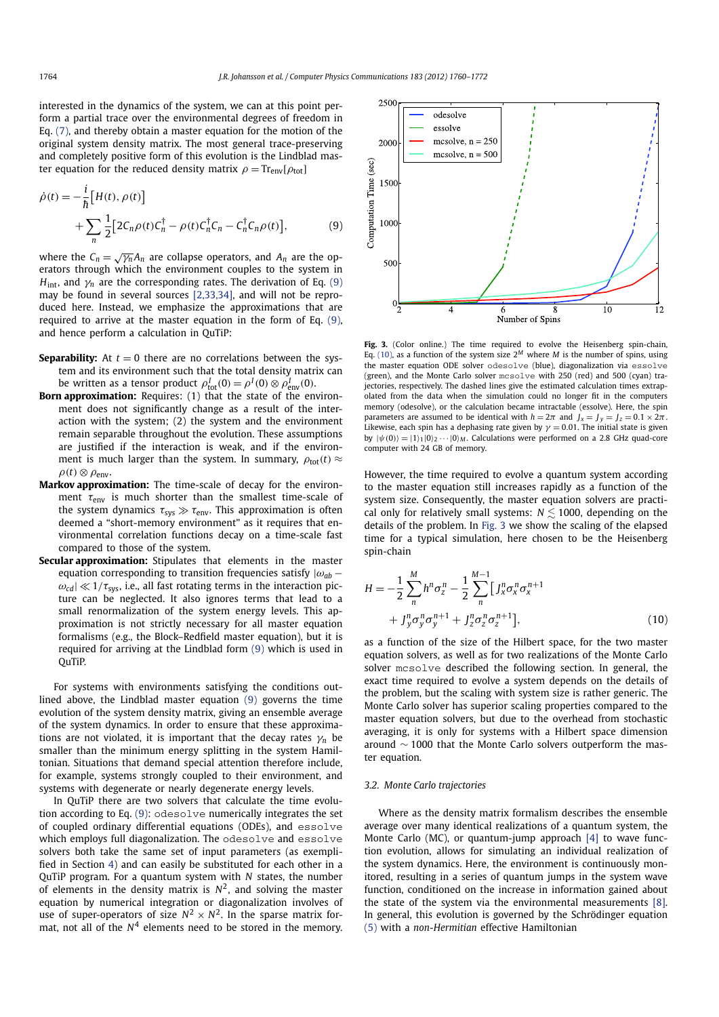interested in the dynamics of the system, we can at this point perform a partial trace over the environmental degrees of freedom in Eq. (7), and thereby obtain a master equation for the motion of the original system density matrix. The most general trace-preserving and completely positive form of this evolution is the Lindblad master equation for the reduced density matrix  $\rho = Tr_{env}[\rho_{tot}]$ 

$$
\dot{\rho}(t) = -\frac{i}{\hbar} \Big[ H(t), \rho(t) \Big] \n+ \sum_{n} \frac{1}{2} \Big[ 2C_n \rho(t) C_n^{\dagger} - \rho(t) C_n^{\dagger} C_n - C_n^{\dagger} C_n \rho(t) \Big],
$$
\n(9)

where the  $C_n = \sqrt{\gamma_n} A_n$  are collapse operators, and  $A_n$  are the operators through which the environment couples to the system in  $H_{int}$ , and  $\gamma_n$  are the corresponding rates. The derivation of Eq. (9) may be found in several sources [2,33,34], and will not be reproduced here. Instead, we emphasize the approximations that are required to arrive at the master equation in the form of Eq. (9), and hence perform a calculation in QuTiP:

- **Separability:** At  $t = 0$  there are no correlations between the system and its environment such that the total density matrix can be written as a tensor product  $\rho_{\text{tot}}^I(0) = \rho^I(0) \otimes \rho_{\text{env}}^I(0)$ .
- **Born approximation:** Requires: (1) that the state of the environment does not significantly change as a result of the interaction with the system; (2) the system and the environment remain separable throughout the evolution. These assumptions are justified if the interaction is weak, and if the environment is much larger than the system. In summary,  $\rho_{\text{tot}}(t) \approx$  $\rho(t) \otimes \rho_{env}$
- **Markov approximation:** The time-scale of decay for the environment  $\tau_{env}$  is much shorter than the smallest time-scale of the system dynamics  $\tau_{sys} \gg \tau_{env}$ . This approximation is often deemed a "short-memory environment" as it requires that environmental correlation functions decay on a time-scale fast compared to those of the system.
- **Secular approximation:** Stipulates that elements in the master equation corresponding to transition frequencies satisfy  $|\omega_{ab} - \rangle$  $\omega_{cd}$ |  $\ll$  1/ $\tau_{sys}$ , i.e., all fast rotating terms in the interaction picture can be neglected. It also ignores terms that lead to a small renormalization of the system energy levels. This approximation is not strictly necessary for all master equation formalisms (e.g., the Block–Redfield master equation), but it is required for arriving at the Lindblad form (9) which is used in QuTiP.

For systems with environments satisfying the conditions outlined above, the Lindblad master equation (9) governs the time evolution of the system density matrix, giving an ensemble average of the system dynamics. In order to ensure that these approximations are not violated, it is important that the decay rates  $\gamma_n$  be smaller than the minimum energy splitting in the system Hamiltonian. Situations that demand special attention therefore include, for example, systems strongly coupled to their environment, and systems with degenerate or nearly degenerate energy levels.

In QuTiP there are two solvers that calculate the time evolution according to Eq. (9): odesolve numerically integrates the set of coupled ordinary differential equations (ODEs), and essolve which employs full diagonalization. The odesolve and essolve solvers both take the same set of input parameters (as exemplified in Section 4) and can easily be substituted for each other in a QuTiP program. For a quantum system with *N* states, the number of elements in the density matrix is  $N^2$ , and solving the master equation by numerical integration or diagonalization involves of use of super-operators of size  $N^2 \times N^2$ . In the sparse matrix format, not all of the  $N<sup>4</sup>$  elements need to be stored in the memory.



**Fig. 3.** (Color online.) The time required to evolve the Heisenberg spin-chain, Eq. (10), as a function of the system size  $2^M$  where *M* is the number of spins, using the master equation ODE solver odesolve (blue), diagonalization via essolve (green), and the Monte Carlo solver mcsolve with 250 (red) and 500 (cyan) trajectories, respectively. The dashed lines give the estimated calculation times extrapolated from the data when the simulation could no longer fit in the computers memory (odesolve), or the calculation became intractable (essolve). Here, the spin parameters are assumed to be identical with  $h = 2\pi$  and  $J_x = J_y = J_z = 0.1 \times 2\pi$ . Likewise, each spin has a dephasing rate given by  $\gamma = 0.01$ . The initial state is given by  $|\psi(0)\rangle = |1\rangle_1|0\rangle_2 \cdots |0\rangle_M$ . Calculations were performed on a 2.8 GHz quad-core computer with 24 GB of memory.

However, the time required to evolve a quantum system according to the master equation still increases rapidly as a function of the system size. Consequently, the master equation solvers are practical only for relatively small systems:  $N \lesssim 1000$ , depending on the details of the problem. In Fig. 3 we show the scaling of the elapsed time for a typical simulation, here chosen to be the Heisenberg spin-chain

$$
H = -\frac{1}{2} \sum_{n}^{M} h^{n} \sigma_{z}^{n} - \frac{1}{2} \sum_{n}^{M-1} \left[ J_{x}^{n} \sigma_{x}^{n} \sigma_{x}^{n+1} + J_{y}^{n} \sigma_{y}^{n} \sigma_{y}^{n+1} + J_{z}^{n} \sigma_{z}^{n} \sigma_{z}^{n+1} \right],
$$
\n(10)

as a function of the size of the Hilbert space, for the two master equation solvers, as well as for two realizations of the Monte Carlo solver mcsolve described the following section. In general, the exact time required to evolve a system depends on the details of the problem, but the scaling with system size is rather generic. The Monte Carlo solver has superior scaling properties compared to the master equation solvers, but due to the overhead from stochastic averaging, it is only for systems with a Hilbert space dimension around ∼ 1000 that the Monte Carlo solvers outperform the master equation.

#### *3.2. Monte Carlo trajectories*

Where as the density matrix formalism describes the ensemble average over many identical realizations of a quantum system, the Monte Carlo (MC), or quantum-jump approach [4] to wave function evolution, allows for simulating an individual realization of the system dynamics. Here, the environment is continuously monitored, resulting in a series of quantum jumps in the system wave function, conditioned on the increase in information gained about the state of the system via the environmental measurements [8]. In general, this evolution is governed by the Schrödinger equation (5) with a *non-Hermitian* effective Hamiltonian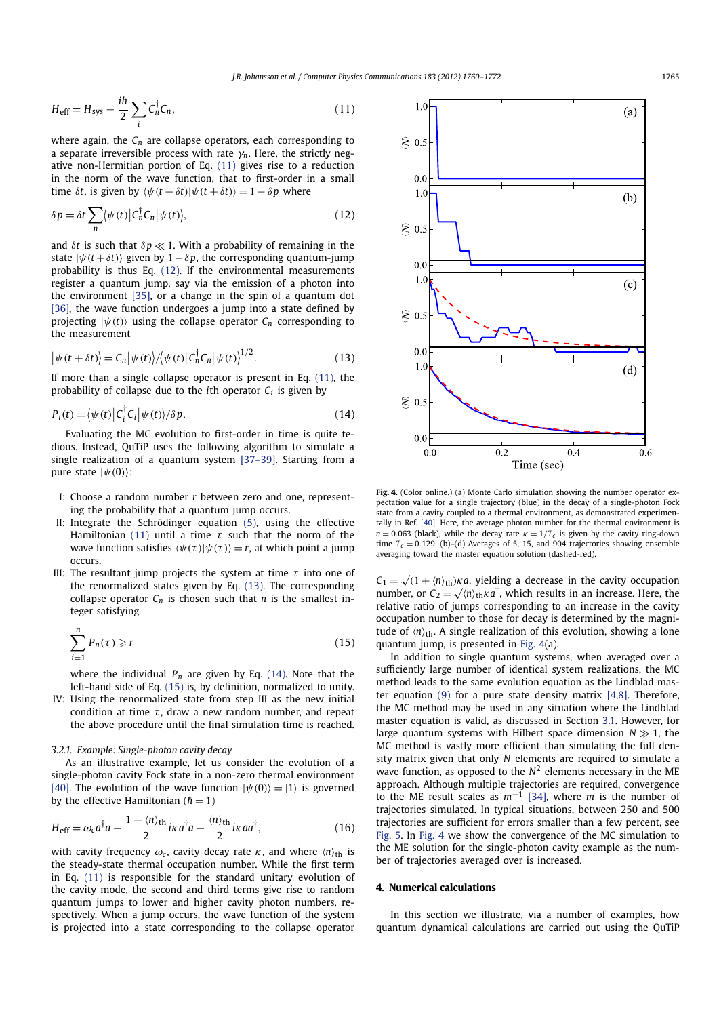$$
H_{\text{eff}} = H_{\text{sys}} - \frac{i\hbar}{2} \sum_{i} C_{n}^{\dagger} C_{n}, \qquad (11)
$$

where again, the  $C_n$  are collapse operators, each corresponding to a separate irreversible process with rate  $\gamma_n$ . Here, the strictly negative non-Hermitian portion of Eq. (11) gives rise to a reduction in the norm of the wave function, that to first-order in a small time  $\delta t$ , is given by  $\langle \psi(t + \delta t) | \psi(t + \delta t) \rangle = 1 - \delta p$  where

$$
\delta p = \delta t \sum_{n} \langle \psi(t) | C_{n}^{\dagger} C_{n} | \psi(t) \rangle, \tag{12}
$$

and  $\delta t$  is such that  $\delta p \ll 1$ . With a probability of remaining in the state  $|\psi(t + \delta t)\rangle$  given by 1 –  $\delta p$ , the corresponding quantum-jump probability is thus Eq. (12). If the environmental measurements register a quantum jump, say via the emission of a photon into the environment [35], or a change in the spin of a quantum dot [36], the wave function undergoes a jump into a state defined by projecting  $|\psi(t)\rangle$  using the collapse operator  $C_n$  corresponding to the measurement

$$
\left|\psi(t+\delta t)\right| = C_n \left|\psi(t)\right| / \left\langle \psi(t) \right| C_n^\dagger C_n \left|\psi(t)\right|^{1/2}.
$$
 (13)

If more than a single collapse operator is present in Eq. (11), the probability of collapse due to the *i*th operator  $C_i$  is given by

$$
P_i(t) = \langle \psi(t) | C_i^{\dagger} C_i | \psi(t) \rangle / \delta p. \tag{14}
$$

Evaluating the MC evolution to first-order in time is quite tedious. Instead, QuTiP uses the following algorithm to simulate a single realization of a quantum system [37–39]. Starting from a pure state  $|\psi(0)\rangle$ :

- I: Choose a random number *r* between zero and one, representing the probability that a quantum jump occurs.
- II: Integrate the Schrödinger equation (5), using the effective Hamiltonian (11) until a time  $\tau$  such that the norm of the wave function satisfies  $\langle \psi(\tau) | \psi(\tau) \rangle = r$ , at which point a jump occurs.
- III: The resultant jump projects the system at time  $\tau$  into one of the renormalized states given by Eq. (13). The corresponding collapse operator  $C_n$  is chosen such that  $n$  is the smallest integer satisfying

$$
\sum_{i=1}^{n} P_n(\tau) \geqslant r \tag{15}
$$

where the individual  $P_n$  are given by Eq. (14). Note that the left-hand side of Eq. (15) is, by definition, normalized to unity.

IV: Using the renormalized state from step III as the new initial condition at time  $\tau$ , draw a new random number, and repeat the above procedure until the final simulation time is reached.

#### *3.2.1. Example: Single-photon cavity decay*

As an illustrative example, let us consider the evolution of a single-photon cavity Fock state in a non-zero thermal environment [40]. The evolution of the wave function  $|\psi(0)\rangle = |1\rangle$  is governed by the effective Hamiltonian ( $\hbar = 1$ )

$$
H_{\text{eff}} = \omega_c a^\dagger a - \frac{1 + \langle n \rangle_{\text{th}}}{2} i\kappa a^\dagger a - \frac{\langle n \rangle_{\text{th}}}{2} i\kappa a a^\dagger,\tag{16}
$$

with cavity frequency  $\omega_c$ , cavity decay rate  $\kappa$ , and where  $\langle n \rangle_{\text{th}}$  is the steady-state thermal occupation number. While the first term in Eq. (11) is responsible for the standard unitary evolution of the cavity mode, the second and third terms give rise to random quantum jumps to lower and higher cavity photon numbers, respectively. When a jump occurs, the wave function of the system is projected into a state corresponding to the collapse operator



**Fig. 4.** (Color online.) (a) Monte Carlo simulation showing the number operator expectation value for a single trajectory (blue) in the decay of a single-photon Fock state from a cavity coupled to a thermal environment, as demonstrated experimentally in Ref. [40]. Here, the average photon number for the thermal environment is  $n = 0.063$  (black), while the decay rate  $\kappa = 1/T_c$  is given by the cavity ring-down time  $T_c = 0.129$ . (b)–(d) Averages of 5, 15, and 904 trajectories showing ensemble averaging toward the master equation solution (dashed-red).

 $C_1 = \sqrt{(1 + \langle n \rangle_{\text{th}})\kappa}a$ , yielding a decrease in the cavity occupation number, or  $C_2 = \sqrt{\langle n \rangle_{\text{th}} \kappa} a^{\dagger}$ , which results in an increase. Here, the relative ratio of jumps corresponding to an increase in the cavity occupation number to those for decay is determined by the magnitude of  $\langle n \rangle_{\text{th}}$ . A single realization of this evolution, showing a lone quantum jump, is presented in Fig. 4(a).

In addition to single quantum systems, when averaged over a sufficiently large number of identical system realizations, the MC method leads to the same evolution equation as the Lindblad master equation  $(9)$  for a pure state density matrix  $[4,8]$ . Therefore, the MC method may be used in any situation where the Lindblad master equation is valid, as discussed in Section 3.1. However, for large quantum systems with Hilbert space dimension  $N \gg 1$ , the MC method is vastly more efficient than simulating the full density matrix given that only *N* elements are required to simulate a wave function, as opposed to the  $N^2$  elements necessary in the ME approach. Although multiple trajectories are required, convergence to the ME result scales as *m*−<sup>1</sup> [34], where *m* is the number of trajectories simulated. In typical situations, between 250 and 500 trajectories are sufficient for errors smaller than a few percent, see Fig. 5. In Fig. 4 we show the convergence of the MC simulation to the ME solution for the single-photon cavity example as the number of trajectories averaged over is increased.

# **4. Numerical calculations**

In this section we illustrate, via a number of examples, how quantum dynamical calculations are carried out using the QuTiP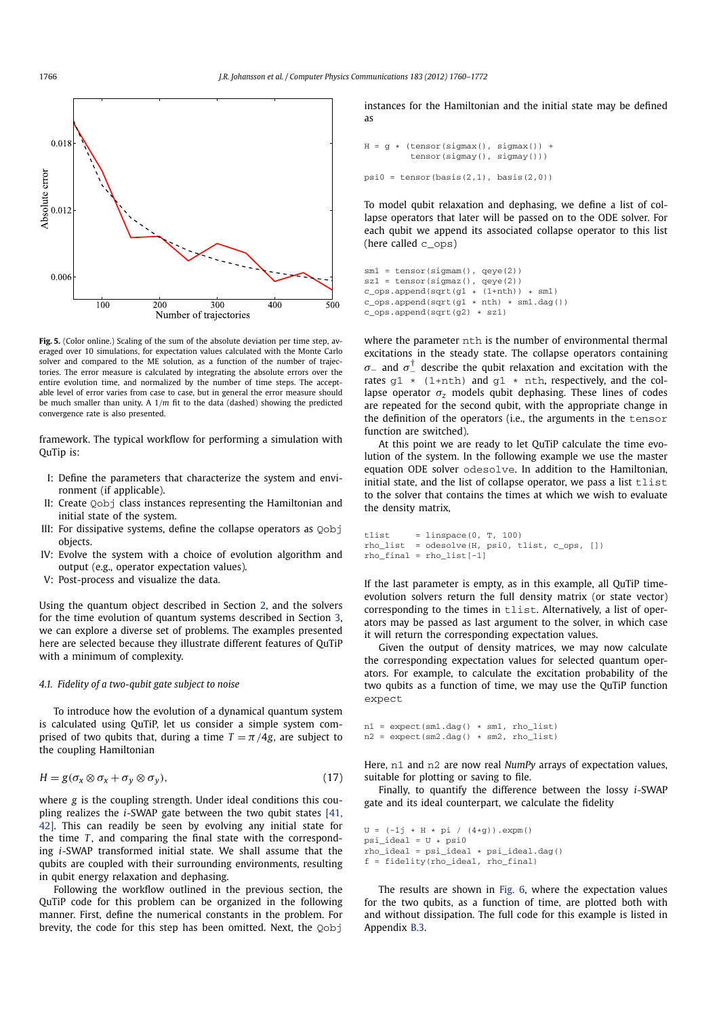

**Fig. 5.** (Color online.) Scaling of the sum of the absolute deviation per time step, averaged over 10 simulations, for expectation values calculated with the Monte Carlo solver and compared to the ME solution, as a function of the number of trajectories. The error measure is calculated by integrating the absolute errors over the entire evolution time, and normalized by the number of time steps. The acceptable level of error varies from case to case, but in general the error measure should be much smaller than unity. A 1/*m* fit to the data (dashed) showing the predicted convergence rate is also presented.

framework. The typical workflow for performing a simulation with QuTip is:

- I: Define the parameters that characterize the system and environment (if applicable).
- II: Create Qobj class instances representing the Hamiltonian and initial state of the system.
- III: For dissipative systems, define the collapse operators as Oobj objects.
- IV: Evolve the system with a choice of evolution algorithm and output (e.g., operator expectation values).
- V: Post-process and visualize the data.

Using the quantum object described in Section 2, and the solvers for the time evolution of quantum systems described in Section 3, we can explore a diverse set of problems. The examples presented here are selected because they illustrate different features of QuTiP with a minimum of complexity.

#### *4.1. Fidelity of a two-qubit gate subject to noise*

To introduce how the evolution of a dynamical quantum system is calculated using QuTiP, let us consider a simple system comprised of two qubits that, during a time  $T = \pi/4g$ , are subject to the coupling Hamiltonian

$$
H = g(\sigma_x \otimes \sigma_x + \sigma_y \otimes \sigma_y), \tag{17}
$$

where *g* is the coupling strength. Under ideal conditions this coupling realizes the *i*-SWAP gate between the two qubit states [41, 42]. This can readily be seen by evolving any initial state for the time *T*, and comparing the final state with the corresponding *i*-SWAP transformed initial state. We shall assume that the qubits are coupled with their surrounding environments, resulting in qubit energy relaxation and dephasing.

Following the workflow outlined in the previous section, the QuTiP code for this problem can be organized in the following manner. First, define the numerical constants in the problem. For brevity, the code for this step has been omitted. Next, the Qobj

instances for the Hamiltonian and the initial state may be defined as

```
H = g * (tensor(sigma()) +tensor(sigmay(), sigmay()))
psi = tensor(basis(2,1), basis(2,0))
```
To model qubit relaxation and dephasing, we define a list of collapse operators that later will be passed on to the ODE solver. For each qubit we append its associated collapse operator to this list (here called c\_ops)

```
sm1 = tensor(siam(), qeye(2))sz1 = tensor(sigmaz(), qeye(2))
c_{\text{obs}}.append(sqrt(g1 * (1+nth)) * sm1)
c_{\text{ops.append}}(sqrt(q1 + nth) * sm1.dag())c_ops.append(sqrt(g2) * sz1)
```
where the parameter nth is the number of environmental thermal excitations in the steady state. The collapse operators containing σ<sub>−</sub> and  $\sigma_{\perp}^{\dagger}$  describe the qubit relaxation and excitation with the rates  $g1 * (1+nth)$  and  $g1 * nth$ , respectively, and the collapse operator  $\sigma$ <sub>z</sub> models qubit dephasing. These lines of codes are repeated for the second qubit, with the appropriate change in the definition of the operators (i.e., the arguments in the tensor function are switched).

At this point we are ready to let QuTiP calculate the time evolution of the system. In the following example we use the master equation ODE solver odesolve. In addition to the Hamiltonian, initial state, and the list of collapse operator, we pass a list tlist to the solver that contains the times at which we wish to evaluate the density matrix,

```
tlist = linspace(0, T, 100)
rho_list = odesolve(H, psi0, tlist, c_ops, [])
rho_final = rho_list[-1]
```
If the last parameter is empty, as in this example, all QuTiP timeevolution solvers return the full density matrix (or state vector) corresponding to the times in tlist. Alternatively, a list of operators may be passed as last argument to the solver, in which case it will return the corresponding expectation values.

Given the output of density matrices, we may now calculate the corresponding expectation values for selected quantum operators. For example, to calculate the excitation probability of the two qubits as a function of time, we may use the QuTiP function expect

 $n1 =$  expect(sm1.dag()  $*$  sm1, rho list)  $n2 =$  expect(sm2.dag()  $*$  sm2, rhollist)

Here, n1 and n2 are now real *NumPy* arrays of expectation values, suitable for plotting or saving to file.

Finally, to quantify the difference between the lossy *i*-SWAP gate and its ideal counterpart, we calculate the fidelity

```
U = (-1j * H * pi / (4*g)).expm()psi<sup>1</sup> ideal = U * psirho_ideal = psi_ideal * psi_ideal.dag()
f = fidelity(rho_ideal, rho_final)
```
The results are shown in Fig. 6, where the expectation values for the two qubits, as a function of time, are plotted both with and without dissipation. The full code for this example is listed in Appendix B.3.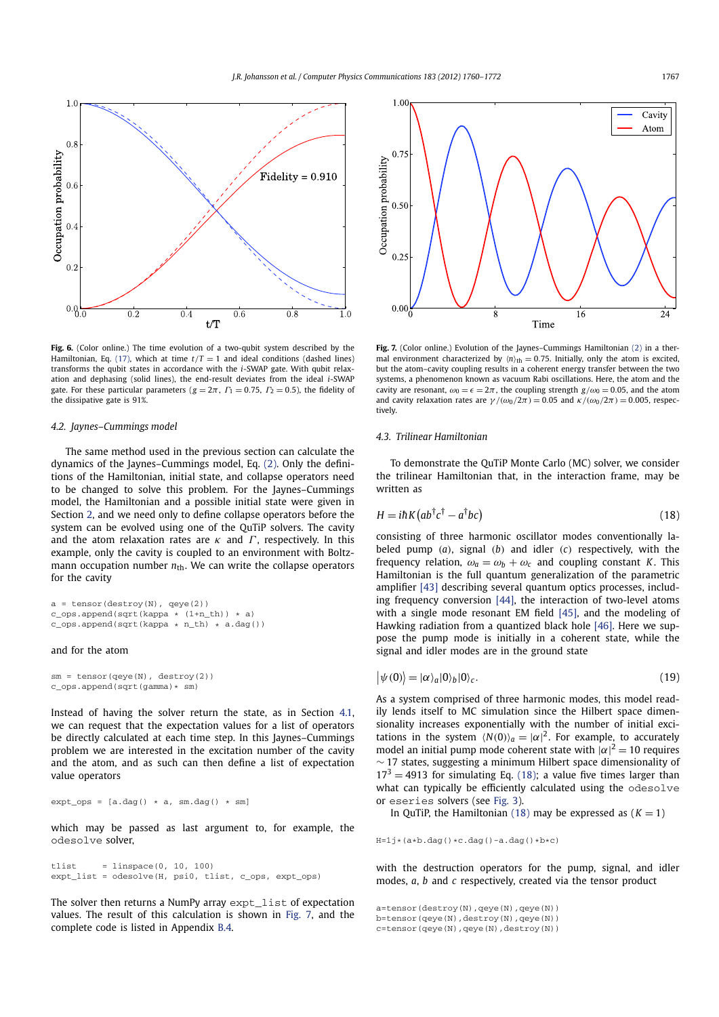

**Fig. 6.** (Color online.) The time evolution of a two-qubit system described by the Hamiltonian, Eq. (17), which at time  $t/T = 1$  and ideal conditions (dashed lines) transforms the qubit states in accordance with the *i*-SWAP gate. With qubit relaxation and dephasing (solid lines), the end-result deviates from the ideal *i*-SWAP gate. For these particular parameters ( $g = 2\pi$ ,  $\Gamma_1 = 0.75$ ,  $\Gamma_2 = 0.5$ ), the fidelity of the dissipative gate is 91%.

#### *4.2. Jaynes–Cummings model*

The same method used in the previous section can calculate the dynamics of the Jaynes–Cummings model, Eq. (2). Only the definitions of the Hamiltonian, initial state, and collapse operators need to be changed to solve this problem. For the Jaynes–Cummings model, the Hamiltonian and a possible initial state were given in Section 2, and we need only to define collapse operators before the system can be evolved using one of the QuTiP solvers. The cavity and the atom relaxation rates are  $\kappa$  and  $\Gamma$ , respectively. In this example, only the cavity is coupled to an environment with Boltzmann occupation number  $n_{\text{th}}$ . We can write the collapse operators for the cavity

```
a = tensor(destroy(N), qeye(2))c_{\text{op}}s.append(sqrt(kappa * (1+n_th)) * a)
c_{\text{obs}.append(sqrt(kappa * n_th) * a.dag())
```
# and for the atom

sm = tensor(qeye(N), destroy(2)) c\_ops.append(sqrt(gamma)\* sm)

Instead of having the solver return the state, as in Section 4.1, we can request that the expectation values for a list of operators be directly calculated at each time step. In this Jaynes–Cummings problem we are interested in the excitation number of the cavity and the atom, and as such can then define a list of expectation value operators

 $ext\_ops = [a.dag() * a, sm.dag() * sm]$ 

which may be passed as last argument to, for example, the odesolve solver,

tlist = linspace( $0, 10, 100$ ) expt\_list = odesolve(H, psi0, tlist, c\_ops, expt\_ops)

The solver then returns a NumPy array expt\_list of expectation values. The result of this calculation is shown in Fig. 7, and the complete code is listed in Appendix B.4.



**Fig. 7.** (Color online.) Evolution of the Jaynes–Cummings Hamiltonian (2) in a thermal environment characterized by  $\langle n \rangle_{\text{th}} = 0.75$ . Initially, only the atom is excited, but the atom–cavity coupling results in a coherent energy transfer between the two systems, a phenomenon known as vacuum Rabi oscillations. Here, the atom and the cavity are resonant,  $\omega_0 = \epsilon = 2\pi$ , the coupling strength  $g/\omega_0 = 0.05$ , and the atom and cavity relaxation rates are  $\gamma/(\omega_0/2\pi) = 0.05$  and  $\kappa/(\omega_0/2\pi) = 0.005$ , respectively.

## *4.3. Trilinear Hamiltonian*

To demonstrate the QuTiP Monte Carlo (MC) solver, we consider the trilinear Hamiltonian that, in the interaction frame, may be written as

$$
H = i\hbar K \left( ab^{\dagger} c^{\dagger} - a^{\dagger} bc \right) \tag{18}
$$

consisting of three harmonic oscillator modes conventionally labeled pump (*a*), signal (*b*) and idler (*c*) respectively, with the frequency relation,  $\omega_a = \omega_b + \omega_c$  and coupling constant *K*. This Hamiltonian is the full quantum generalization of the parametric amplifier [43] describing several quantum optics processes, including frequency conversion [44], the interaction of two-level atoms with a single mode resonant EM field [45], and the modeling of Hawking radiation from a quantized black hole [46]. Here we suppose the pump mode is initially in a coherent state, while the signal and idler modes are in the ground state

$$
|\psi(0)\rangle = |\alpha\rangle_a |0\rangle_b |0\rangle_c.
$$
 (19)

As a system comprised of three harmonic modes, this model readily lends itself to MC simulation since the Hilbert space dimensionality increases exponentially with the number of initial excitations in the system  $\langle N(0) \rangle_a = |\alpha|^2$ . For example, to accurately model an initial pump mode coherent state with  $|\alpha|^2 = 10$  requires  $\sim$  17 states, suggesting a minimum Hilbert space dimensionality of  $17<sup>3</sup> = 4913$  for simulating Eq. (18); a value five times larger than what can typically be efficiently calculated using the odesolve or eseries solvers (see Fig. 3).

In QuTiP, the Hamiltonian (18) may be expressed as  $(K = 1)$ 

 $H=1j*(a*b.dag() *c.dag() -a.dag() *b *c)$ 

with the destruction operators for the pump, signal, and idler modes, *a*, *b* and *c* respectively, created via the tensor product

a=tensor(destroy(N),qeye(N),qeye(N))

b=tensor(qeye(N),destroy(N),qeye(N))

c=tensor(qeye(N),qeye(N),destroy(N))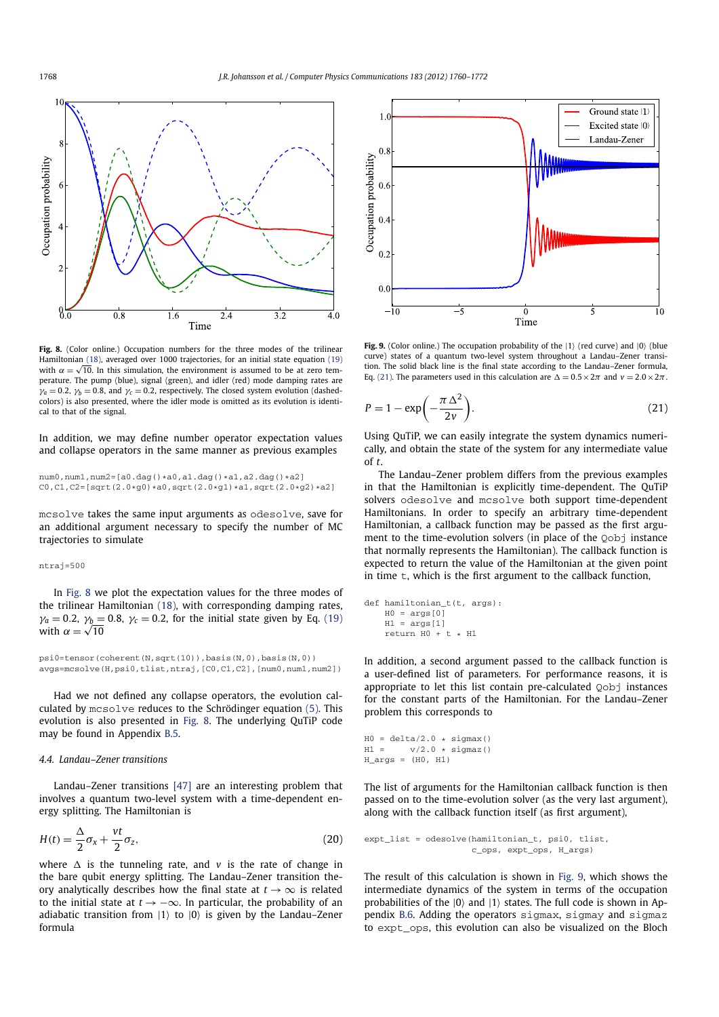

Fig. 8. (Color online.) Occupation numbers for the three modes of the trilinear Hamiltonian (18), averaged over 1000 trajectories, for an initial state equation (19) with  $\alpha = \sqrt{10}$ . In this simulation, the environment is assumed to be at zero temperature. The pump (blue), signal (green), and idler (red) mode damping rates are  $\gamma_a = 0.2$ ,  $\gamma_b = 0.8$ , and  $\gamma_c = 0.2$ , respectively. The closed system evolution (dashedcolors) is also presented, where the idler mode is omitted as its evolution is identical to that of the signal.

In addition, we may define number operator expectation values and collapse operators in the same manner as previous examples

num0,num1,num2=[a0.dag()\*a0,a1.dag()\*a1,a2.dag()\*a2]  $C0, C1, C2 = [sqrt(2.0*g0)*a0,sqrt(2.0*g1)*a1,sqrt(2.0*g2)*a2]$ 

mcsolve takes the same input arguments as odesolve, save for an additional argument necessary to specify the number of MC trajectories to simulate

#### ntraj=500

In Fig. 8 we plot the expectation values for the three modes of the trilinear Hamiltonian (18), with corresponding damping rates,  $\gamma_a = 0.2$ ,  $\gamma_b = 0.8$ ,  $\gamma_c = 0.2$ , for the initial state given by Eq. (19) with  $\alpha = \sqrt{10}$ 

psi0=tensor(coherent(N,sqrt(10)),basis(N,0),basis(N,0)) avgs=mcsolve(H,psi0,tlist,ntraj,[C0,C1,C2],[num0,num1,num2])

Had we not defined any collapse operators, the evolution calculated by mcsolve reduces to the Schrödinger equation (5). This evolution is also presented in Fig. 8. The underlying QuTiP code may be found in Appendix B.5.

# *4.4. Landau–Zener transitions*

Landau–Zener transitions [47] are an interesting problem that involves a quantum two-level system with a time-dependent energy splitting. The Hamiltonian is

$$
H(t) = \frac{\Delta}{2}\sigma_x + \frac{vt}{2}\sigma_z, \tag{20}
$$

where  $\Delta$  is the tunneling rate, and *v* is the rate of change in the bare qubit energy splitting. The Landau–Zener transition theory analytically describes how the final state at  $t \to \infty$  is related to the initial state at  $t \rightarrow -\infty$ . In particular, the probability of an adiabatic transition from  $|1\rangle$  to  $|0\rangle$  is given by the Landau–Zener formula



Fig. 9. (Color online.) The occupation probability of the  $|1\rangle$  (red curve) and  $|0\rangle$  (blue curve) states of a quantum two-level system throughout a Landau–Zener transition. The solid black line is the final state according to the Landau–Zener formula, Eq. (21). The parameters used in this calculation are  $\Delta = 0.5 \times 2\pi$  and  $v = 2.0 \times 2\pi$ .

$$
P = 1 - \exp\left(-\frac{\pi \Delta^2}{2v}\right).
$$
 (21)

Using QuTiP, we can easily integrate the system dynamics numerically, and obtain the state of the system for any intermediate value of *t*.

The Landau–Zener problem differs from the previous examples in that the Hamiltonian is explicitly time-dependent. The QuTiP solvers odesolve and mcsolve both support time-dependent Hamiltonians. In order to specify an arbitrary time-dependent Hamiltonian, a callback function may be passed as the first argument to the time-evolution solvers (in place of the Qobj instance that normally represents the Hamiltonian). The callback function is expected to return the value of the Hamiltonian at the given point in time t, which is the first argument to the callback function,

```
def hamiltonian_t(t, args):
   H0 = \arg[0]H1 = args[1]return H0 + t * H1
```
In addition, a second argument passed to the callback function is a user-defined list of parameters. For performance reasons, it is appropriate to let this list contain pre-calculated Qobj instances for the constant parts of the Hamiltonian. For the Landau–Zener problem this corresponds to

```
H0 = \text{delta}/2.0 * \text{sigma}(1)<br>H1 = \text{v}/2.0 * \text{sigma}(1)v/2.0 * signaz()H_{args} = (H0, H1)
```
The list of arguments for the Hamiltonian callback function is then passed on to the time-evolution solver (as the very last argument), along with the callback function itself (as first argument),

```
expt_list = odesolve(hamiltonian_t, psi0, tlist,
                     c_ops, expt_ops, H_args)
```
The result of this calculation is shown in Fig. 9, which shows the intermediate dynamics of the system in terms of the occupation probabilities of the  $|0\rangle$  and  $|1\rangle$  states. The full code is shown in Appendix B.6. Adding the operators sigmax, sigmay and sigmaz to expt\_ops, this evolution can also be visualized on the Bloch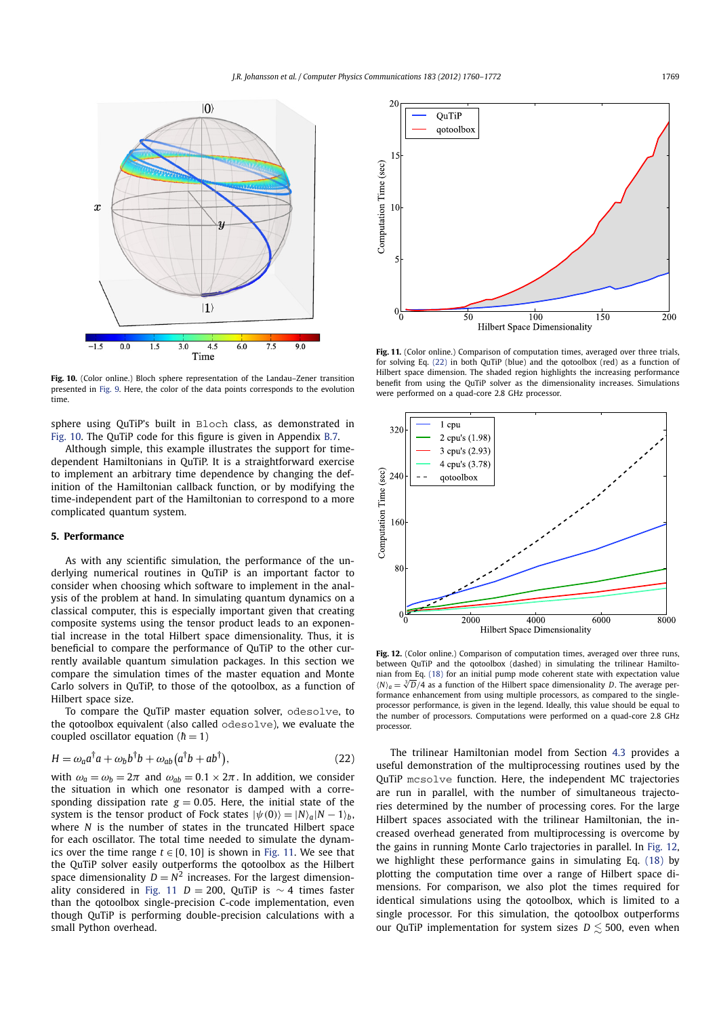

**Fig. 10.** (Color online.) Bloch sphere representation of the Landau–Zener transition presented in Fig. 9. Here, the color of the data points corresponds to the evolution time.

sphere using QuTiP's built in Bloch class, as demonstrated in Fig. 10. The QuTiP code for this figure is given in Appendix B.7.

Although simple, this example illustrates the support for timedependent Hamiltonians in QuTiP. It is a straightforward exercise to implement an arbitrary time dependence by changing the definition of the Hamiltonian callback function, or by modifying the time-independent part of the Hamiltonian to correspond to a more complicated quantum system.

# **5. Performance**

As with any scientific simulation, the performance of the underlying numerical routines in QuTiP is an important factor to consider when choosing which software to implement in the analysis of the problem at hand. In simulating quantum dynamics on a classical computer, this is especially important given that creating composite systems using the tensor product leads to an exponential increase in the total Hilbert space dimensionality. Thus, it is beneficial to compare the performance of QuTiP to the other currently available quantum simulation packages. In this section we compare the simulation times of the master equation and Monte Carlo solvers in QuTiP, to those of the qotoolbox, as a function of Hilbert space size.

To compare the QuTiP master equation solver, odesolve, to the qotoolbox equivalent (also called odesolve), we evaluate the coupled oscillator equation ( $\hbar = 1$ )

$$
H = \omega_a a^{\dagger} a + \omega_b b^{\dagger} b + \omega_{ab} (a^{\dagger} b + a b^{\dagger}), \qquad (22)
$$

with  $\omega_a = \omega_b = 2\pi$  and  $\omega_{ab} = 0.1 \times 2\pi$ . In addition, we consider the situation in which one resonator is damped with a corresponding dissipation rate  $g = 0.05$ . Here, the initial state of the system is the tensor product of Fock states  $|\psi(0)\rangle = |N\rangle_a |N - 1\rangle_b$ , where *N* is the number of states in the truncated Hilbert space for each oscillator. The total time needed to simulate the dynamics over the time range  $t \in [0, 10]$  is shown in Fig. 11. We see that the QuTiP solver easily outperforms the qotoolbox as the Hilbert space dimensionality  $D = N^2$  increases. For the largest dimensionality considered in Fig. 11 *D* = 200, QuTiP is  $\sim$  4 times faster than the qotoolbox single-precision C-code implementation, even though QuTiP is performing double-precision calculations with a small Python overhead.



Fig. 11. (Color online.) Comparison of computation times, averaged over three trials, for solving Eq. (22) in both QuTiP (blue) and the qotoolbox (red) as a function of Hilbert space dimension. The shaded region highlights the increasing performance benefit from using the QuTiP solver as the dimensionality increases. Simulations were performed on a quad-core 2.8 GHz processor.



Fig. 12. (Color online.) Comparison of computation times, averaged over three runs, between QuTiP and the qotoolbox (dashed) in simulating the trilinear Hamiltonian from Eq. (18) for an initial pump mode coherent state with expectation value  $\langle N \rangle_a = \sqrt[3]{D}/4$  as a function of the Hilbert space dimensionality *D*. The average performance enhancement from using multiple processors, as compared to the singleprocessor performance, is given in the legend. Ideally, this value should be equal to the number of processors. Computations were performed on a quad-core 2.8 GHz processor.

The trilinear Hamiltonian model from Section 4.3 provides a useful demonstration of the multiprocessing routines used by the QuTiP mcsolve function. Here, the independent MC trajectories are run in parallel, with the number of simultaneous trajectories determined by the number of processing cores. For the large Hilbert spaces associated with the trilinear Hamiltonian, the increased overhead generated from multiprocessing is overcome by the gains in running Monte Carlo trajectories in parallel. In Fig. 12, we highlight these performance gains in simulating Eq. (18) by plotting the computation time over a range of Hilbert space dimensions. For comparison, we also plot the times required for identical simulations using the qotoolbox, which is limited to a single processor. For this simulation, the qotoolbox outperforms our QuTiP implementation for system sizes  $D \le 500$ , even when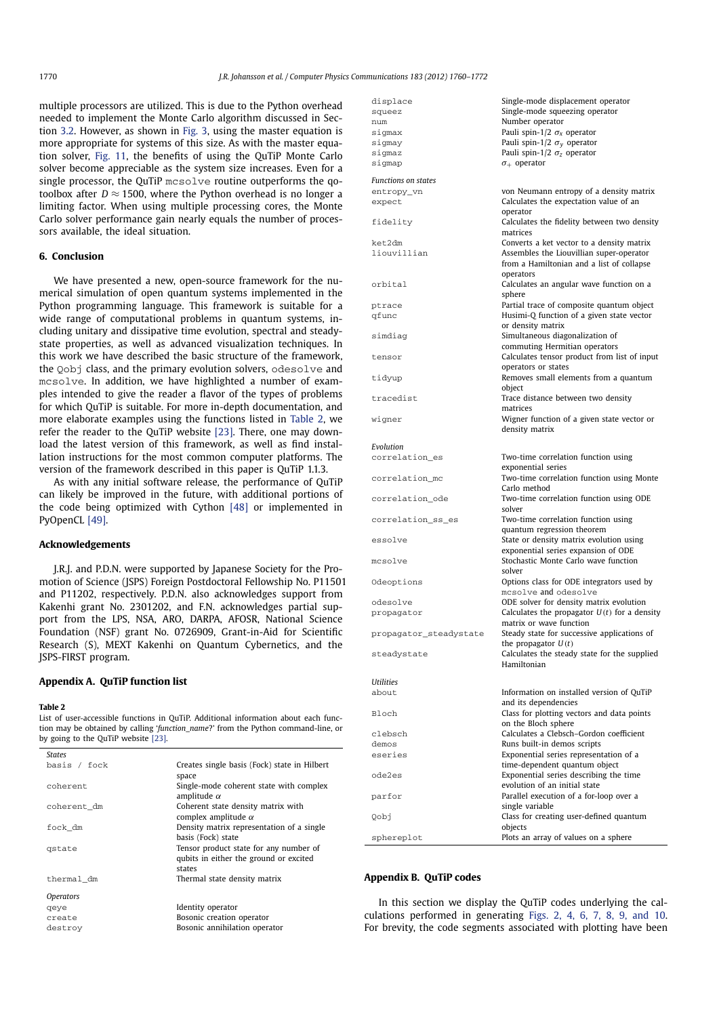multiple processors are utilized. This is due to the Python overhead needed to implement the Monte Carlo algorithm discussed in Section 3.2. However, as shown in Fig. 3, using the master equation is more appropriate for systems of this size. As with the master equation solver, Fig. 11, the benefits of using the QuTiP Monte Carlo solver become appreciable as the system size increases. Even for a single processor, the QuTiP mcsolve routine outperforms the qotoolbox after  $D \approx 1500$ , where the Python overhead is no longer a limiting factor. When using multiple processing cores, the Monte Carlo solver performance gain nearly equals the number of processors available, the ideal situation.

# **6. Conclusion**

We have presented a new, open-source framework for the numerical simulation of open quantum systems implemented in the Python programming language. This framework is suitable for a wide range of computational problems in quantum systems, including unitary and dissipative time evolution, spectral and steadystate properties, as well as advanced visualization techniques. In this work we have described the basic structure of the framework, the Qobj class, and the primary evolution solvers, odesolve and mcsolve. In addition, we have highlighted a number of examples intended to give the reader a flavor of the types of problems for which QuTiP is suitable. For more in-depth documentation, and more elaborate examples using the functions listed in Table 2, we refer the reader to the QuTiP website [23]. There, one may download the latest version of this framework, as well as find installation instructions for the most common computer platforms. The version of the framework described in this paper is QuTiP 1.1.3.

As with any initial software release, the performance of QuTiP can likely be improved in the future, with additional portions of the code being optimized with Cython [48] or implemented in PyOpenCL [49].

# **Acknowledgements**

J.R.J. and P.D.N. were supported by Japanese Society for the Promotion of Science (JSPS) Foreign Postdoctoral Fellowship No. P11501 and P11202, respectively. P.D.N. also acknowledges support from Kakenhi grant No. 2301202, and F.N. acknowledges partial support from the LPS, NSA, ARO, DARPA, AFOSR, National Science Foundation (NSF) grant No. 0726909, Grant-in-Aid for Scientific Research (S), MEXT Kakenhi on Quantum Cybernetics, and the JSPS-FIRST program.

# **Appendix A. QuTiP function list**

#### **Table 2**

List of user-accessible functions in QuTiP. Additional information about each function may be obtained by calling '*function\_name*?' from the Python command-line, or by going to the QuTiP website [23].

| States                  |                                                                                            |
|-------------------------|--------------------------------------------------------------------------------------------|
| basis / fock            | Creates single basis (Fock) state in Hilbert<br>space                                      |
| coherent                | Single-mode coherent state with complex<br>amplitude $\alpha$                              |
| coherent_dm             | Coherent state density matrix with<br>complex amplitude $\alpha$                           |
| fock_dm                 | Density matrix representation of a single<br>basis (Fock) state                            |
| gstate                  | Tensor product state for any number of<br>qubits in either the ground or excited<br>states |
| thermal dm              | Thermal state density matrix                                                               |
| <i><b>Operators</b></i> |                                                                                            |
| qeye                    | Identity operator                                                                          |
| create                  | Bosonic creation operator                                                                  |
| destroy                 | Bosonic annihilation operator                                                              |

| displace                   | Single-mode displacement operator                                                     |
|----------------------------|---------------------------------------------------------------------------------------|
| squeez                     | Single-mode squeezing operator                                                        |
| num                        | Number operator                                                                       |
| sigmax                     | Pauli spin-1/2 $\sigma_x$ operator                                                    |
| sigmay                     | Pauli spin-1/2 $\sigma_{v}$ operator                                                  |
| sigmaz                     | Pauli spin-1/2 $\sigma$ z operator<br>$\sigma_+$ operator                             |
| sigmap                     |                                                                                       |
| <b>Functions on states</b> |                                                                                       |
| entropy_vn                 | von Neumann entropy of a density matrix                                               |
| expect                     | Calculates the expectation value of an                                                |
|                            | operator                                                                              |
| fidelity                   | Calculates the fidelity between two density                                           |
|                            | matrices                                                                              |
| ket2dm<br>liouvillian      | Converts a ket vector to a density matrix<br>Assembles the Liouvillian super-operator |
|                            | from a Hamiltonian and a list of collapse                                             |
|                            | operators                                                                             |
| orbital                    | Calculates an angular wave function on a                                              |
|                            | sphere                                                                                |
| ptrace                     | Partial trace of composite quantum object                                             |
| qfunc                      | Husimi-Q function of a given state vector                                             |
|                            | or density matrix                                                                     |
| simdiag                    | Simultaneous diagonalization of                                                       |
|                            | commuting Hermitian operators                                                         |
| tensor                     | Calculates tensor product from list of input                                          |
|                            | operators or states                                                                   |
| tidyup                     | Removes small elements from a quantum<br>object                                       |
| tracedist                  | Trace distance between two density                                                    |
|                            | matrices                                                                              |
| wigner                     | Wigner function of a given state vector or                                            |
|                            | density matrix                                                                        |
|                            |                                                                                       |
| Evolution                  |                                                                                       |
| correlation_es             | Two-time correlation function using<br>exponential series                             |
| correlation_mc             | Two-time correlation function using Monte                                             |
|                            | Carlo method                                                                          |
| correlation_ode            | Two-time correlation function using ODE                                               |
|                            | solver                                                                                |
| correlation_ss_es          | Two-time correlation function using                                                   |
|                            | quantum regression theorem                                                            |
| essolve                    | State or density matrix evolution using                                               |
|                            | exponential series expansion of ODE                                                   |
| mcsolve                    | Stochastic Monte Carlo wave function                                                  |
|                            | solver                                                                                |
| Odeoptions                 | Options class for ODE integrators used by<br>mcsolve and odesolve                     |
| odesolve                   | ODE solver for density matrix evolution                                               |
| propagator                 | Calculates the propagator $U(t)$ for a density                                        |
|                            | matrix or wave function                                                               |
| propagator_steadystate     | Steady state for successive applications of                                           |
|                            | the propagator $U(t)$                                                                 |
| steadystate                | Calculates the steady state for the supplied                                          |
|                            | Hamiltonian                                                                           |
| Utilities                  |                                                                                       |
| about                      | Information on installed version of QuTiP                                             |
|                            | and its dependencies                                                                  |
| Bloch                      | Class for plotting vectors and data points                                            |
|                            | on the Bloch sphere                                                                   |
| clebsch                    | Calculates a Clebsch-Gordon coefficient                                               |
| demos                      | Runs built-in demos scripts                                                           |
| eseries                    | Exponential series representation of a                                                |
|                            | time-dependent quantum object<br>Exponential series describing the time               |
| ode2es                     | evolution of an initial state                                                         |
| parfor                     | Parallel execution of a for-loop over a                                               |
|                            | single variable                                                                       |
| Qobj                       | Class for creating user-defined quantum                                               |
|                            | objects                                                                               |
| sphereplot                 | Plots an array of values on a sphere                                                  |

# **Appendix B. QuTiP codes**

In this section we display the QuTiP codes underlying the calculations performed in generating Figs. 2, 4, 6, 7, 8, 9, and 10. For brevity, the code segments associated with plotting have been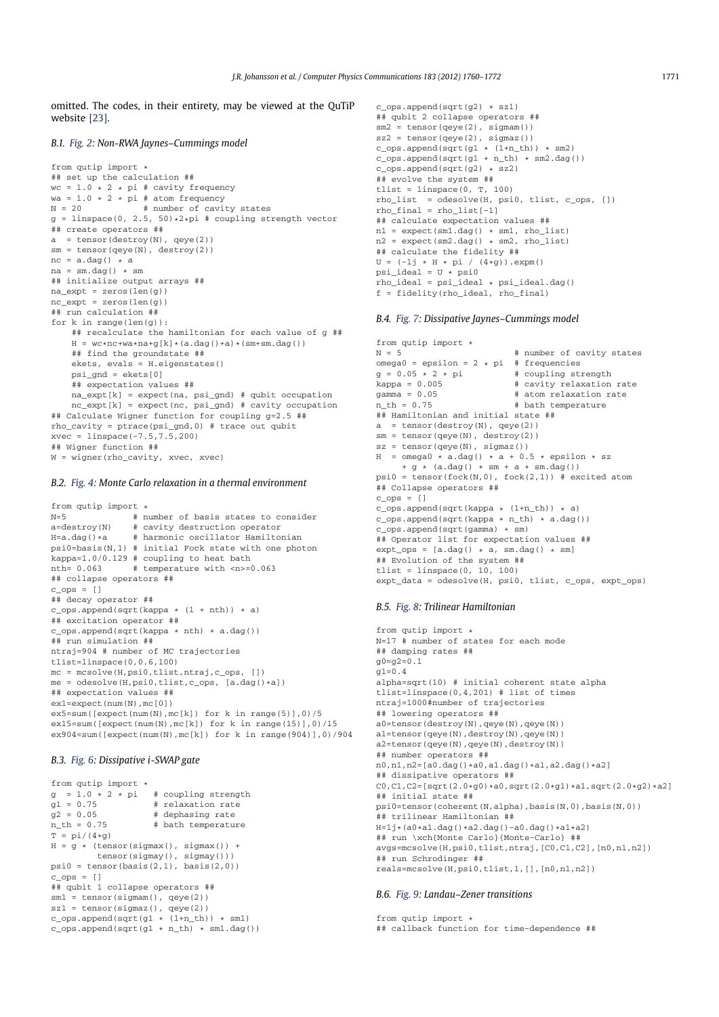omitted. The codes, in their entirety, may be viewed at the QuTiP website [23].

# *B.1. Fig. 2: Non-RWA Jaynes–Cummings model*

from qutip import \* ## set up the calculation ## wc =  $1.0 \times 2 \times$  pi # cavity frequency wa =  $1.0 \times 2 \times \text{pi}$  # atom frequency<br>N =  $20$  # number of cavi # number of cavity states  $g = 1$ inspace(0, 2.5, 50)\*2\*pi # coupling strength vector ## create operators ##  $a = tensor(destroy(N), qeye(2))$ sm = tensor(qeye(N), destroy(2))  $nc = a.dag() * a$  $na = sm.dag() * sm$ ## initialize output arrays ##  $na\_expt = zeros(len(g))$  $nc\_expt = zeros(len(g))$ ## run calculation ## for  $k$  in range(len(g)): ## recalculate the hamiltonian for each value of g ##  $H = wc*nc+wa*na+g[k] * (a.dag() + a) * (sm+sm.dag())$ ## find the groundstate ## ekets, evals = H.eigenstates() psi\_gnd = ekets[0] ## expectation values ## na\_expt[k] = expect(na, psi\_gnd) # qubit occupation nc\_expt[k] = expect(nc, psi\_gnd) # cavity occupation ## Calculate Wigner function for coupling g=2.5 ## rho\_cavity = ptrace(psi\_gnd,0) # trace out qubit xvec = linspace(-7.5,7.5,200) ## Wigner function ## W = wigner(rho\_cavity, xvec, xvec)

# *B.2. Fig. 4: Monte Carlo relaxation in a thermal environment*

```
from qutip import *<br>N=5 * n
                       # number of basis states to consider
a=destroy(N) # cavity destruction operator
H=a.daq() *a # harmonic oscillator Hamiltonian
psi0=basis(N,1) # initial Fock state with one photon
kappa=1.0/0.129 # coupling to heat bath
nth= 0.063 # temperature with <n>=0.063
## collapse operators ##
c_{\text{ops}} = []## decay operator ##
c_{\text{pos}.append(sqrt(kappa * (1 + nth)) * a)## excitation operator ##
c_{\text{obs.append}}(sqrt(kappa + nth) * a.dag())## run simulation ##
ntraj=904 # number of MC trajectories
tlist=linspace(0,0.6,100)
mc = mesolve(H,psi0,tilist,ntrai,c,ons, [])\begin{minipage}{0.9\linewidth} \mbox{\texttt{m}}\emph{e} = \emph{odesolve(H,psi,H)}, \emph{thist, c\_ops, [a.dag() *a]}, \emph{and} \emph{all} \emph{all} \emph{all} \emph{all} \emph{all} \emph{all} \emph{all} \emph{all} \emph{all} \emph{all} \emph{all} \emph{all} \emph{all} \emph{all} \emph{all} \emph{all} \emph{all} \emph{all} \emph{all} \emph{all} \emph{all} \emph{all} \emph{all} \emph{all} \emph{all} \emph{## expectation values ##
ex1=expect(num(N),mc[0])
ex5=sum([expect(num(N),mc[k]) for k in range(5)],0)/5
ex15=sum([expect(num(N),mc[k]) for k in range(15)],0)/15
ex904=sum([expect(num(N),mc[k]) for k in range(904)],0)/904
```
# *B.3. Fig. 6: Dissipative i-SWAP gate*

```
from qutip import *
g = 1.0 \times 2 \times pi # coupling strength<br>
g1 = 0.75 # relaxation rate
g1 = 0.75 # relaxation rate<br>g2 = 0.05 # dephasing rate
g2 = 0.05 # dephasing rate<br>n th = 0.75 # bath temperature
                        # bath temperature
T = pi/(4*<i>\sigma</i>)H = g * (tensor(sigma()) +tensor(sigmay(), sigmay()))
psi = tensor(basis(2,1), basis(2,0))c_{\text{ops}} = [ ]## qubit 1 collapse operators ##
sm1 = tensor(sigmam(), qeye(2))
sz1 = tensor(sigmaz(), qeye(2))
c_ops.append(sqrt(g1 * (1+n_th)) * sm1)
c_{\text{op}}s.append(sqrt(g1 * n_th) * sm1.dag())
```

```
c_ops.append(sqrt(g2) * sz1)
## qubit 2 collapse operators ##
sm2 = tensor(qeye(2), sigmam())
sz2 = tensor(qeye(2), sigmaz())
c_{\text{obs}}.append(sqrt(g1 * (1+n_th)) * sm2)
c_{\text{op}}s.append(sqrt(g1 * n_th) * sm2.dag())
c_{\text{ops.append}}(sqrt{(g2)} * \overline{s}z2)## evolve the system ##
tlist = linspace(0, T, 100)rho_list = odesolve(H, psi0, tlist, c_ops, [])
rho_final = rho_list[-1]
## calculate expectation values ##
nl = expect(sml.dag() * sml, rho_list)
n2 = expect(sm2.dag() * sm2, rho_list)
## calculate the fidelity ##
U = (-1j * H * pi / (4*g)) . expm()psi<sup>1</sup> ideal = U * psi0
rho_ideal = psi_ideal * psi_ideal.dag()
f = fidelity(rho_ideal, rho_final)
```
#### *B.4. Fig. 7: Dissipative Jaynes–Cummings model*

```
from qutip import *<br>N = 5
                                # number of cavity states
omega0 = epsilon = 2 * pi # frequencies<br>g = 0.05 \times 2 \times pi # coupling strength
g = 0.05 \times 2 \times pi<br>kappa = 0.005
kappa = 0.005 # cavity relaxation rate<br>gamma = 0.05 # atom relaxation rate
                               # atom relaxation rate
n th = 0.75 \qquad # bath temperature
## Hamiltonian and initial state ##
a = tensor(destroy(N), qeye(2))
sm = tensor(qeye(N), destroy(2))
sz = tensor(qeye(N), sigmaz())
H = \text{omega} \cdot \text{a.dag}() \cdot a + 0.5 * \text{epsilon}+ g * (a.dag() * sm + a * sm.dag())
psi = tensor(fock(N,0), fock(2,1)) # excited atom
## Collapse operators ##
c_ops = []
c_{\text{ops.append}}(sqrt(kappa + (1+n_{\text{th}})) * a)c_ops.append(sqrt(kappa * n_th) * a.dag())
c_ops.append(sqrt(gamma) * sm)
## Operator list for expectation values ##
expt_{ops} = [a.dag() * a, sm.dag() * sm]## Evolution of the system ##
tlist = linspace(0, 10, 100)expt_data = odesolve(H, psi0, tlist, c_ops, expt_ops)
```
# *B.5. Fig. 8: Trilinear Hamiltonian*

```
from qutip import *
N=17 # number of states for each mode
## damping rates ##
g0 = g2 = 0.1\sigma1=0.4
alpha=sqrt(10) # initial coherent state alpha
tlist=linspace(0, 4, 201) # list of times
ntraj=1000#number of trajectories
## lowering operators ##
a0=tensor(destroy(N),qeye(N),qeye(N))
a1=tensor(qeye(N),destroy(N),qeye(N))
a2=tensor(qeye(N),qeye(N),destroy(N))
## number operators ##
n0,n1,n2=[a0.dag()*a0,a1.dag()*a1,a2.dag()*a2]
## dissipative operators ##
C0, C1, C2 = [sqrt(2.0*g0)*a0,sqrt(2.0*g1)*a1,sqrt(2.0*g2)*a2]## initial state ##
psi0=tensor(coherent(N,alpha),basis(N,0),basis(N,0))
## trilinear Hamiltonian ##
H=1j*(a0*a1.dag()*a2.dag()-a0.dag()*a1*a2)## run \xch{Monte Carlo}{Monte-Carlo} ##
avgs=mcsolve(H,psi0,tlist,ntraj,[C0,C1,C2],[n0,n1,n2])
## run Schrodinger ##
reals=mcsolve(H,psi0,tlist,1,[],[n0,n1,n2])
```
# *B.6. Fig. 9: Landau–Zener transitions*

from qutip import \* ## callback function for time-dependence ##